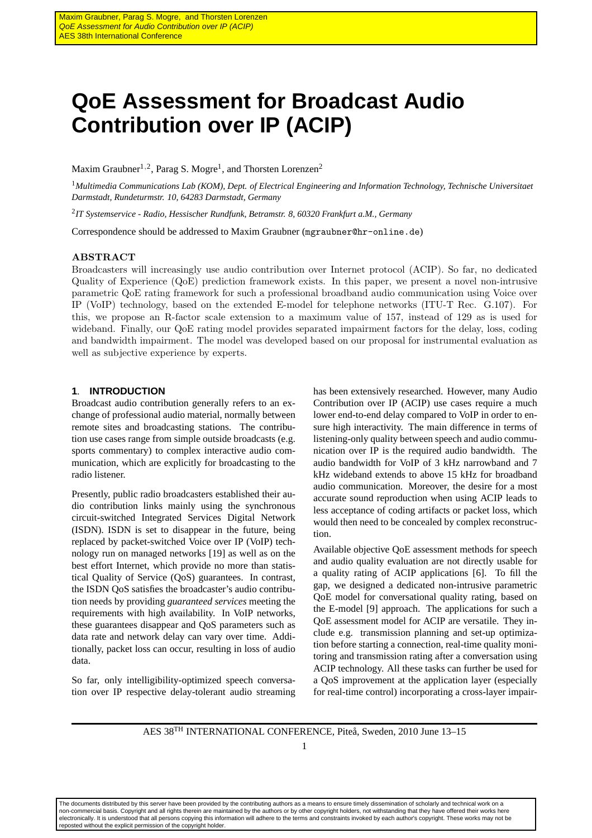# **QoE Assessment for Broadcast Audio Contribution over IP (ACIP)**

Maxim Graubner<sup>1,2</sup>, Parag S. Mogre<sup>1</sup>, and Thorsten Lorenzen<sup>2</sup>

<sup>1</sup>*Multimedia Communications Lab (KOM), Dept. of Electrical Engineering and Information Technology, Technische Universitaet Darmstadt, Rundeturmstr. 10, 64283 Darmstadt, Germany*

2 *IT Systemservice - Radio, Hessischer Rundfunk, Betramstr. 8, 60320 Frankfurt a.M., Germany*

Correspondence should be addressed to Maxim Graubner (mgraubner@hr-online.de)

## ABSTRACT

Broadcasters will increasingly use audio contribution over Internet protocol (ACIP). So far, no dedicated Quality of Experience (QoE) prediction framework exists. In this paper, we present a novel non-intrusive parametric QoE rating framework for such a professional broadband audio communication using Voice over IP (VoIP) technology, based on the extended E-model for telephone networks (ITU-T Rec. G.107). For this, we propose an R-factor scale extension to a maximum value of 157, instead of 129 as is used for wideband. Finally, our QoE rating model provides separated impairment factors for the delay, loss, coding and bandwidth impairment. The model was developed based on our proposal for instrumental evaluation as well as subjective experience by experts.

### **1**. **INTRODUCTION**

Broadcast audio contribution generally refers to an exchange of professional audio material, normally between remote sites and broadcasting stations. The contribution use cases range from simple outside broadcasts (e.g. sports commentary) to complex interactive audio communication, which are explicitly for broadcasting to the radio listener.

Presently, public radio broadcasters established their audio contribution links mainly using the synchronous circuit-switched Integrated Services Digital Network (ISDN). ISDN is set to disappear in the future, being replaced by packet-switched Voice over IP (VoIP) technology run on managed networks [19] as well as on the best effort Internet, which provide no more than statistical Quality of Service (QoS) guarantees. In contrast, the ISDN QoS satisfies the broadcaster's audio contribution needs by providing *guaranteed services* meeting the requirements with high availability. In VoIP networks, these guarantees disappear and QoS parameters such as data rate and network delay can vary over time. Additionally, packet loss can occur, resulting in loss of audio data.

So far, only intelligibility-optimized speech conversation over IP respective delay-tolerant audio streaming has been extensively researched. However, many Audio Contribution over IP (ACIP) use cases require a much lower end-to-end delay compared to VoIP in order to ensure high interactivity. The main difference in terms of listening-only quality between speech and audio communication over IP is the required audio bandwidth. The audio bandwidth for VoIP of 3 kHz narrowband and 7 kHz wideband extends to above 15 kHz for broadband audio communication. Moreover, the desire for a most accurate sound reproduction when using ACIP leads to less acceptance of coding artifacts or packet loss, which would then need to be concealed by complex reconstruction.

Available objective QoE assessment methods for speech and audio quality evaluation are not directly usable for a quality rating of ACIP applications [6]. To fill the gap, we designed a dedicated non-intrusive parametric QoE model for conversational quality rating, based on the E-model [9] approach. The applications for such a QoE assessment model for ACIP are versatile. They include e.g. transmission planning and set-up optimization before starting a connection, real-time quality monitoring and transmission rating after a conversation using ACIP technology. All these tasks can further be used for a QoS improvement at the application layer (especially for real-time control) incorporating a cross-layer impair-

1

The documents distributed by this server have been provided by the contributing authors as a means to ensure timely dissemination of scholarly and technical work on a non-commercial basis. Copyright and all rights therein are maintained by the authors or by other copyright holders, not withstanding that they have offered their works here electronically. It is understood that all persons copying this information will adhere to the terms and constraints invoked by each author's copyright. These works may not be reposted without the explicit permission of the copyright holder.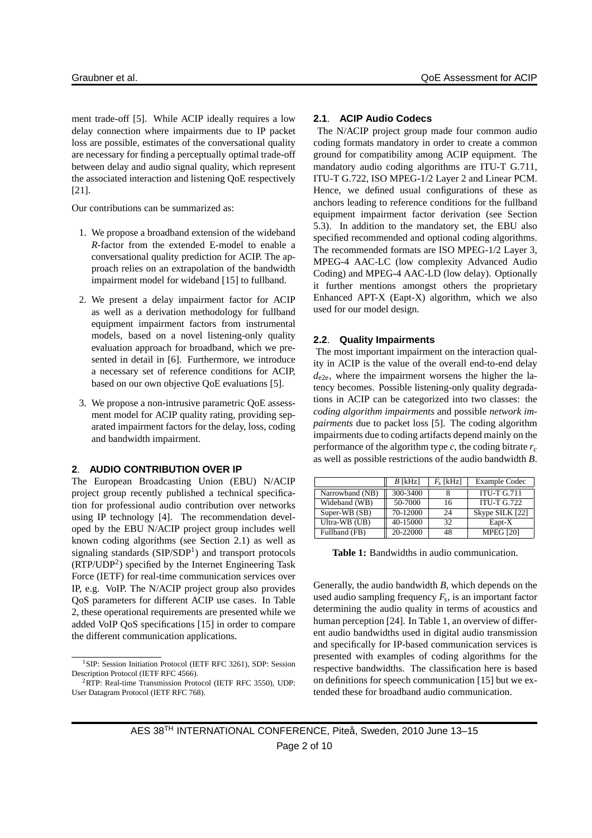ment trade-off [5]. While ACIP ideally requires a low delay connection where impairments due to IP packet loss are possible, estimates of the conversational quality are necessary for finding a perceptually optimal trade-off between delay and audio signal quality, which represent the associated interaction and listening QoE respectively [21].

Our contributions can be summarized as:

- 1. We propose a broadband extension of the wideband *R*-factor from the extended E-model to enable a conversational quality prediction for ACIP. The approach relies on an extrapolation of the bandwidth impairment model for wideband [15] to fullband.
- 2. We present a delay impairment factor for ACIP as well as a derivation methodology for fullband equipment impairment factors from instrumental models, based on a novel listening-only quality evaluation approach for broadband, which we presented in detail in [6]. Furthermore, we introduce a necessary set of reference conditions for ACIP, based on our own objective QoE evaluations [5].
- 3. We propose a non-intrusive parametric QoE assessment model for ACIP quality rating, providing separated impairment factors for the delay, loss, coding and bandwidth impairment.

## **2**. **AUDIO CONTRIBUTION OVER IP**

The European Broadcasting Union (EBU) N/ACIP project group recently published a technical specification for professional audio contribution over networks using IP technology [4]. The recommendation developed by the EBU N/ACIP project group includes well known coding algorithms (see Section 2.1) as well as signaling standards (SIP/SDP<sup>1</sup>) and transport protocols  $(RTP/UDP<sup>2</sup>)$  specified by the Internet Engineering Task Force (IETF) for real-time communication services over IP, e.g. VoIP. The N/ACIP project group also provides QoS parameters for different ACIP use cases. In Table 2, these operational requirements are presented while we added VoIP QoS specifications [15] in order to compare the different communication applications.

### **2.1**. **ACIP Audio Codecs**

The N/ACIP project group made four common audio coding formats mandatory in order to create a common ground for compatibility among ACIP equipment. The mandatory audio coding algorithms are ITU-T G.711, ITU-T G.722, ISO MPEG-1/2 Layer 2 and Linear PCM. Hence, we defined usual configurations of these as anchors leading to reference conditions for the fullband equipment impairment factor derivation (see Section 5.3). In addition to the mandatory set, the EBU also specified recommended and optional coding algorithms. The recommended formats are ISO MPEG-1/2 Layer 3, MPEG-4 AAC-LC (low complexity Advanced Audio Coding) and MPEG-4 AAC-LD (low delay). Optionally it further mentions amongst others the proprietary Enhanced APT-X (Eapt-X) algorithm, which we also used for our model design.

## **2.2**. **Quality Impairments**

The most important impairment on the interaction quality in ACIP is the value of the overall end-to-end delay *d*e2e, where the impairment worsens the higher the latency becomes. Possible listening-only quality degradations in ACIP can be categorized into two classes: the *coding algorithm impairments* and possible *network impairments* due to packet loss [5]. The coding algorithm impairments due to coding artifacts depend mainly on the performance of the algorithm type *c*, the coding bitrate *r<sup>c</sup>* as well as possible restrictions of the audio bandwidth *B*.

|                 | $B$ [kHz] | $F_s$ [kHz] | <b>Example Codec</b> |
|-----------------|-----------|-------------|----------------------|
| Narrowband (NB) | 300-3400  |             | <b>ITU-T G.711</b>   |
| Wideband (WB)   | 50-7000   | 16          | <b>ITU-T G.722</b>   |
| Super-WB (SB)   | 70-12000  | 24          | Skype SILK [22]      |
| Ultra-WB (UB)   | 40-15000  | 32          | Eapt-X               |
| Fullband (FB)   | 20-22000  | 48          | <b>MPEG [20]</b>     |

**Table 1:** Bandwidths in audio communication.

Generally, the audio bandwidth *B*, which depends on the used audio sampling frequency *F<sup>s</sup>* , is an important factor determining the audio quality in terms of acoustics and human perception [24]. In Table 1, an overview of different audio bandwidths used in digital audio transmission and specifically for IP-based communication services is presented with examples of coding algorithms for the respective bandwidths. The classification here is based on definitions for speech communication [15] but we extended these for broadband audio communication.

<sup>&</sup>lt;sup>1</sup>SIP: Session Initiation Protocol (IETF RFC 3261), SDP: Session Description Protocol (IETF RFC 4566).

<sup>2</sup>RTP: Real-time Transmission Protocol (IETF RFC 3550), UDP: User Datagram Protocol (IETF RFC 768).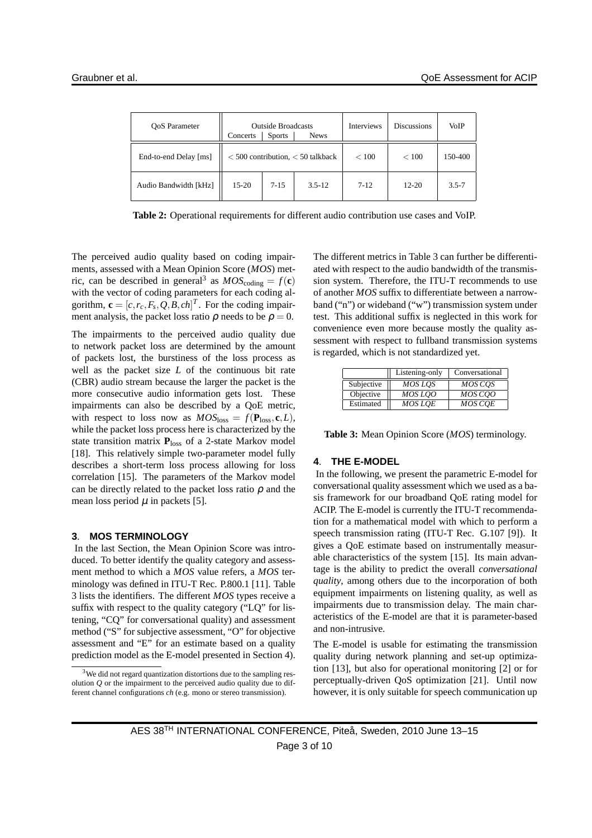| <b>OoS</b> Parameter  | <b>Outside Broadcasts</b><br><b>Sports</b><br><b>News</b><br>Concerts |      | Interviews | <b>Discussions</b> | VoIP      |           |
|-----------------------|-----------------------------------------------------------------------|------|------------|--------------------|-----------|-----------|
| End-to-end Delay [ms] | $<$ 500 contribution, $<$ 50 talkback                                 |      | ${}< 100$  | ${}< 100$          | 150-400   |           |
| Audio Bandwidth [kHz] | $15 - 20$                                                             | 7-15 | $3.5 - 12$ | $7 - 12$           | $12 - 20$ | $3.5 - 7$ |

**Table 2:** Operational requirements for different audio contribution use cases and VoIP.

The perceived audio quality based on coding impairments, assessed with a Mean Opinion Score (*MOS*) metric, can be described in general<sup>3</sup> as  $MOS_{\text{coding}} = f(\mathbf{c})$ with the vector of coding parameters for each coding algorithm,  $\mathbf{c} = [c, r_c, F_s, Q, B, ch]^T$ . For the coding impairment analysis, the packet loss ratio  $\rho$  needs to be  $\rho = 0$ .

The impairments to the perceived audio quality due to network packet loss are determined by the amount of packets lost, the burstiness of the loss process as well as the packet size *L* of the continuous bit rate (CBR) audio stream because the larger the packet is the more consecutive audio information gets lost. These impairments can also be described by a QoE metric, with respect to loss now as  $MOS<sub>loss</sub> = f(\mathbf{P}_{loss}, \mathbf{c}, L)$ , while the packet loss process here is characterized by the state transition matrix P<sub>loss</sub> of a 2-state Markov model [18]. This relatively simple two-parameter model fully describes a short-term loss process allowing for loss correlation [15]. The parameters of the Markov model can be directly related to the packet loss ratio  $\rho$  and the mean loss period  $\mu$  in packets [5].

#### **3**. **MOS TERMINOLOGY**

In the last Section, the Mean Opinion Score was introduced. To better identify the quality category and assessment method to which a *MOS* value refers, a *MOS* terminology was defined in ITU-T Rec. P.800.1 [11]. Table 3 lists the identifiers. The different *MOS* types receive a suffix with respect to the quality category ("LQ" for listening, "CQ" for conversational quality) and assessment method ("S" for subjective assessment, "O" for objective assessment and "E" for an estimate based on a quality prediction model as the E-model presented in Section 4).

The different metrics in Table 3 can further be differentiated with respect to the audio bandwidth of the transmission system. Therefore, the ITU-T recommends to use of another *MOS* suffix to differentiate between a narrowband ("n") or wideband ("w") transmission system under test. This additional suffix is neglected in this work for convenience even more because mostly the quality assessment with respect to fullband transmission systems is regarded, which is not standardized yet.

|            | Listening-only | Conversational |
|------------|----------------|----------------|
| Subjective | MOS LOS        | MOS COS        |
| Objective  | MOS LOO        | MOS COO        |
| Estimated  | <i>MOS LOE</i> | MOS COE        |

**Table 3:** Mean Opinion Score (*MOS*) terminology.

# **4**. **THE E-MODEL**

In the following, we present the parametric E-model for conversational quality assessment which we used as a basis framework for our broadband QoE rating model for ACIP. The E-model is currently the ITU-T recommendation for a mathematical model with which to perform a speech transmission rating (ITU-T Rec. G.107 [9]). It gives a QoE estimate based on instrumentally measurable characteristics of the system [15]. Its main advantage is the ability to predict the overall *conversational quality*, among others due to the incorporation of both equipment impairments on listening quality, as well as impairments due to transmission delay. The main characteristics of the E-model are that it is parameter-based and non-intrusive.

The E-model is usable for estimating the transmission quality during network planning and set-up optimization [13], but also for operational monitoring [2] or for perceptually-driven QoS optimization [21]. Until now however, it is only suitable for speech communication up

<sup>3</sup>We did not regard quantization distortions due to the sampling resolution *Q* or the impairment to the perceived audio quality due to different channel configurations *ch* (e.g. mono or stereo transmission).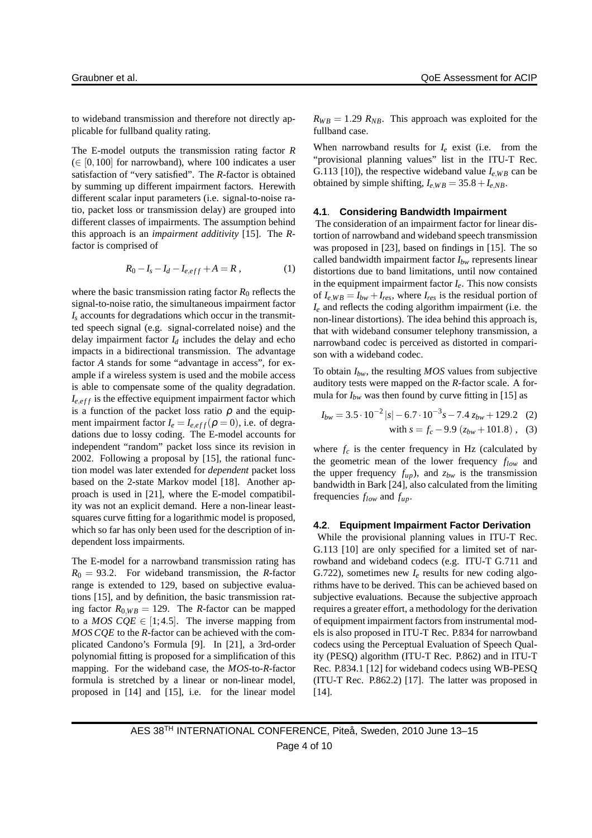to wideband transmission and therefore not directly applicable for fullband quality rating.

The E-model outputs the transmission rating factor *R*  $(\in [0, 100]$  for narrowband), where 100 indicates a user satisfaction of "very satisfied". The *R*-factor is obtained by summing up different impairment factors. Herewith different scalar input parameters (i.e. signal-to-noise ratio, packet loss or transmission delay) are grouped into different classes of impairments. The assumption behind this approach is an *impairment additivity* [15]. The *R*factor is comprised of

$$
R_0 - I_s - I_d - I_{e,eff} + A = R \,, \tag{1}
$$

where the basic transmission rating factor  $R_0$  reflects the signal-to-noise ratio, the simultaneous impairment factor *I<sup>s</sup>* accounts for degradations which occur in the transmitted speech signal (e.g. signal-correlated noise) and the delay impairment factor  $I_d$  includes the delay and echo impacts in a bidirectional transmission. The advantage factor *A* stands for some "advantage in access", for example if a wireless system is used and the mobile access is able to compensate some of the quality degradation.  $I_{e,eff}$  is the effective equipment impairment factor which is a function of the packet loss ratio  $\rho$  and the equipment impairment factor  $I_e = I_{e,eff}(\rho = 0)$ , i.e. of degradations due to lossy coding. The E-model accounts for independent "random" packet loss since its revision in 2002. Following a proposal by [15], the rational function model was later extended for *dependent* packet loss based on the 2-state Markov model [18]. Another approach is used in [21], where the E-model compatibility was not an explicit demand. Here a non-linear leastsquares curve fitting for a logarithmic model is proposed, which so far has only been used for the description of independent loss impairments.

The E-model for a narrowband transmission rating has  $R_0 = 93.2$ . For wideband transmission, the *R*-factor range is extended to 129, based on subjective evaluations [15], and by definition, the basic transmission rating factor  $R_{0, WB} = 129$ . The *R*-factor can be mapped to a *MOS CQE*  $\in$  [1;4.5]. The inverse mapping from *MOS CQE* to the *R*-factor can be achieved with the complicated Candono's Formula [9]. In [21], a 3rd-order polynomial fitting is proposed for a simplification of this mapping. For the wideband case, the *MOS*-to-*R*-factor formula is stretched by a linear or non-linear model, proposed in [14] and [15], i.e. for the linear model  $R_{WB} = 1.29 R_{NB}$ . This approach was exploited for the fullband case.

When narrowband results for  $I_e$  exist (i.e. from the "provisional planning values" list in the ITU-T Rec. G.113 [10]), the respective wideband value  $I_{e, WB}$  can be obtained by simple shifting,  $I_{e, WB} = 35.8 + I_{e, NB}$ .

#### **4.1**. **Considering Bandwidth Impairment**

The consideration of an impairment factor for linear distortion of narrowband and wideband speech transmission was proposed in [23], based on findings in [15]. The so called bandwidth impairment factor *Ibw* represents linear distortions due to band limitations, until now contained in the equipment impairment factor  $I_e$ . This now consists of  $I_{e, WB} = I_{bw} + I_{res}$ , where  $I_{res}$  is the residual portion of *I<sup>e</sup>* and reflects the coding algorithm impairment (i.e. the non-linear distortions). The idea behind this approach is, that with wideband consumer telephony transmission, a narrowband codec is perceived as distorted in comparison with a wideband codec.

To obtain *Ibw*, the resulting *MOS* values from subjective auditory tests were mapped on the *R*-factor scale. A formula for *Ibw* was then found by curve fitting in [15] as

$$
I_{bw} = 3.5 \cdot 10^{-2} |s| - 6.7 \cdot 10^{-3} s - 7.4 z_{bw} + 129.2 \quad (2)
$$
  
with  $s = f_c - 9.9 (z_{bw} + 101.8)$ , (3)

where  $f_c$  is the center frequency in Hz (calculated by the geometric mean of the lower frequency *flow* and the upper frequency  $f_{up}$ ), and  $z_{bw}$  is the transmission bandwidth in Bark [24], also calculated from the limiting frequencies *flow* and *fup*.

#### **4.2**. **Equipment Impairment Factor Derivation**

While the provisional planning values in ITU-T Rec. G.113 [10] are only specified for a limited set of narrowband and wideband codecs (e.g. ITU-T G.711 and G.722), sometimes new  $I_e$  results for new coding algorithms have to be derived. This can be achieved based on subjective evaluations. Because the subjective approach requires a greater effort, a methodology for the derivation of equipment impairment factors from instrumental models is also proposed in ITU-T Rec. P.834 for narrowband codecs using the Perceptual Evaluation of Speech Quality (PESQ) algorithm (ITU-T Rec. P.862) and in ITU-T Rec. P.834.1 [12] for wideband codecs using WB-PESQ (ITU-T Rec. P.862.2) [17]. The latter was proposed in [14].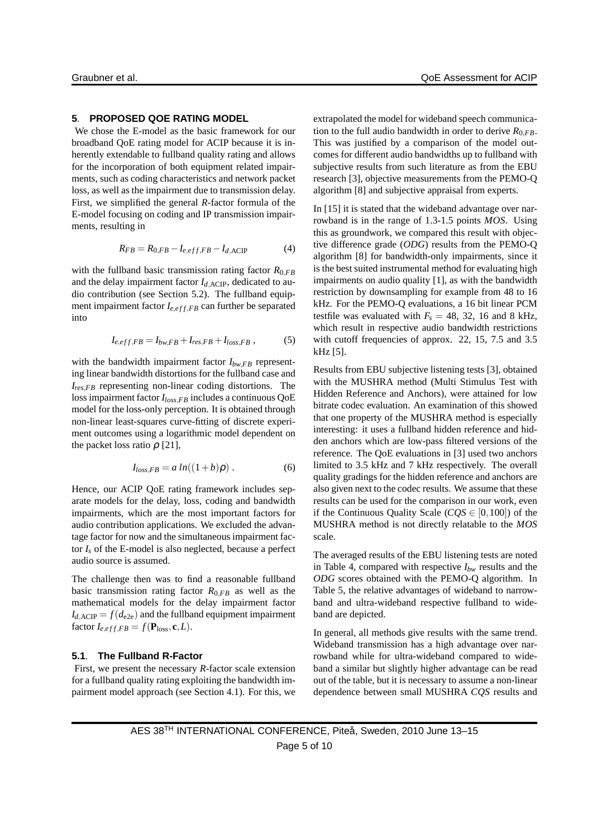## **5**. **PROPOSED QOE RATING MODEL**

We chose the E-model as the basic framework for our broadband QoE rating model for ACIP because it is inherently extendable to fullband quality rating and allows for the incorporation of both equipment related impairments, such as coding characteristics and network packet loss, as well as the impairment due to transmission delay. First, we simplified the general *R*-factor formula of the E-model focusing on coding and IP transmission impairments, resulting in

$$
R_{FB} = R_{0,FB} - I_{e,eff,FB} - I_{d,\text{ACIP}} \tag{4}
$$

with the fullband basic transmission rating factor *R*0,*FB* and the delay impairment factor  $I_{d,ACIP}$ , dedicated to audio contribution (see Section 5.2). The fullband equipment impairment factor *Ie*,*e f f*,*FB* can further be separated into

$$
I_{e,eff,FB} = I_{bw,FB} + I_{res,FB} + I_{loss,FB} ,
$$
 (5)

with the bandwidth impairment factor  $I_{bw,FB}$  representing linear bandwidth distortions for the fullband case and *Ires*,*FB* representing non-linear coding distortions. The loss impairment factor *Iloss*,*FB* includes a continuous QoE model for the loss-only perception. It is obtained through non-linear least-squares curve-fitting of discrete experiment outcomes using a logarithmic model dependent on the packet loss ratio  $\rho$  [21],

$$
I_{loss,FB} = a \ln((1+b)\rho) \,. \tag{6}
$$

Hence, our ACIP QoE rating framework includes separate models for the delay, loss, coding and bandwidth impairments, which are the most important factors for audio contribution applications. We excluded the advantage factor for now and the simultaneous impairment factor  $I_s$  of the E-model is also neglected, because a perfect audio source is assumed.

The challenge then was to find a reasonable fullband basic transmission rating factor  $R_{0,FB}$  as well as the mathematical models for the delay impairment factor  $I_{d,ACIP} = f(d_{e2e})$  and the fullband equipment impairment factor  $I_{e,eff,FB} = f(\mathbf{P}_{loss}, \mathbf{c}, L)$ .

#### **5.1**. **The Fullband R-Factor**

First, we present the necessary *R*-factor scale extension for a fullband quality rating exploiting the bandwidth impairment model approach (see Section 4.1). For this, we extrapolated the model for wideband speech communication to the full audio bandwidth in order to derive  $R_{0,FR}$ . This was justified by a comparison of the model outcomes for different audio bandwidths up to fullband with subjective results from such literature as from the EBU research [3], objective measurements from the PEMO-Q algorithm [8] and subjective appraisal from experts.

In [15] it is stated that the wideband advantage over narrowband is in the range of 1.3-1.5 points *MOS*. Using this as groundwork, we compared this result with objective difference grade (*ODG*) results from the PEMO-Q algorithm [8] for bandwidth-only impairments, since it is the best suited instrumental method for evaluating high impairments on audio quality [1], as with the bandwidth restriction by downsampling for example from 48 to 16 kHz. For the PEMO-Q evaluations, a 16 bit linear PCM testfile was evaluated with  $F_s = 48$ , 32, 16 and 8 kHz, which result in respective audio bandwidth restrictions with cutoff frequencies of approx. 22, 15, 7.5 and 3.5 kHz [5].

Results from EBU subjective listening tests [3], obtained with the MUSHRA method (Multi Stimulus Test with Hidden Reference and Anchors), were attained for low bitrate codec evaluation. An examination of this showed that one property of the MUSHRA method is especially interesting: it uses a fullband hidden reference and hidden anchors which are low-pass filtered versions of the reference. The QoE evaluations in [3] used two anchors limited to 3.5 kHz and 7 kHz respectively. The overall quality gradings for the hidden reference and anchors are also given next to the codec results. We assume that these results can be used for the comparison in our work, even if the Continuous Quality Scale (*CQS* ∈ [0,100]) of the MUSHRA method is not directly relatable to the *MOS* scale.

The averaged results of the EBU listening tests are noted in Table 4, compared with respective  $I_{bw}$  results and the *ODG* scores obtained with the PEMO-Q algorithm. In Table 5, the relative advantages of wideband to narrowband and ultra-wideband respective fullband to wideband are depicted.

In general, all methods give results with the same trend. Wideband transmission has a high advantage over narrowband while for ultra-wideband compared to wideband a similar but slightly higher advantage can be read out of the table, but it is necessary to assume a non-linear dependence between small MUSHRA *CQS* results and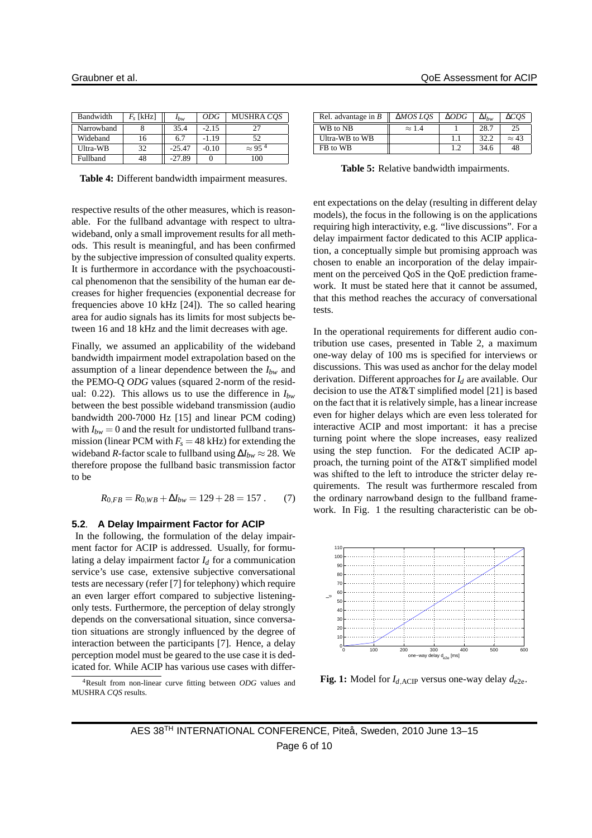| Bandwidth  | $F_s$ [kHz] | $I_{bw}$ | <i>ODG</i> | MUSHRA COS        |
|------------|-------------|----------|------------|-------------------|
| Narrowband |             | 35.4     | $-2.15$    | วา                |
| Wideband   |             | 6.7      | $-1.19$    | 52                |
| Ultra-WB   | 32          | $-25.47$ | $-0.10$    | $\approx$ 95 $^4$ |
| Fullband   | 48          | $-27.89$ | U          | 100               |

**Table 4:** Different bandwidth impairment measures.

respective results of the other measures, which is reasonable. For the fullband advantage with respect to ultrawideband, only a small improvement results for all methods. This result is meaningful, and has been confirmed by the subjective impression of consulted quality experts. It is furthermore in accordance with the psychoacoustical phenomenon that the sensibility of the human ear decreases for higher frequencies (exponential decrease for frequencies above 10 kHz [24]). The so called hearing area for audio signals has its limits for most subjects between 16 and 18 kHz and the limit decreases with age.

Finally, we assumed an applicability of the wideband bandwidth impairment model extrapolation based on the assumption of a linear dependence between the *Ibw* and the PEMO-Q *ODG* values (squared 2-norm of the residual: 0.22). This allows us to use the difference in *Ibw* between the best possible wideband transmission (audio bandwidth 200-7000 Hz [15] and linear PCM coding) with  $I_{bw} = 0$  and the result for undistorted fullband transmission (linear PCM with  $F_s = 48$  kHz) for extending the wideband *R*-factor scale to fullband using  $\Delta I_{bw} \approx 28$ . We therefore propose the fullband basic transmission factor to be

$$
R_{0,FB} = R_{0,WB} + \Delta I_{bw} = 129 + 28 = 157. \tag{7}
$$

#### **5.2**. **A Delay Impairment Factor for ACIP**

In the following, the formulation of the delay impairment factor for ACIP is addressed. Usually, for formulating a delay impairment factor  $I_d$  for a communication service's use case, extensive subjective conversational tests are necessary (refer [7] for telephony) which require an even larger effort compared to subjective listeningonly tests. Furthermore, the perception of delay strongly depends on the conversational situation, since conversation situations are strongly influenced by the degree of interaction between the participants [7]. Hence, a delay perception model must be geared to the use case it is dedicated for. While ACIP has various use cases with differ-

| Rel. advantage in $B$ | ΔMOS LOS      | $\Delta ODG$ | $\Delta l_{hw}$ | ΔCOS         |
|-----------------------|---------------|--------------|-----------------|--------------|
| WB to NB              | $\approx 1.4$ |              | 28.7            |              |
| Ultra-WB to WB        |               |              | 32.2            | $\approx 43$ |
| FB to WB              |               |              | 34.6            | 48           |

**Table 5:** Relative bandwidth impairments.

ent expectations on the delay (resulting in different delay models), the focus in the following is on the applications requiring high interactivity, e.g. "live discussions". For a delay impairment factor dedicated to this ACIP application, a conceptually simple but promising approach was chosen to enable an incorporation of the delay impairment on the perceived QoS in the QoE prediction framework. It must be stated here that it cannot be assumed, that this method reaches the accuracy of conversational tests.

In the operational requirements for different audio contribution use cases, presented in Table 2, a maximum one-way delay of 100 ms is specified for interviews or discussions. This was used as anchor for the delay model derivation. Different approaches for *I<sup>d</sup>* are available. Our decision to use the AT&T simplified model [21] is based on the fact that it is relatively simple, has a linear increase even for higher delays which are even less tolerated for interactive ACIP and most important: it has a precise turning point where the slope increases, easy realized using the step function. For the dedicated ACIP approach, the turning point of the AT&T simplified model was shifted to the left to introduce the stricter delay requirements. The result was furthermore rescaled from the ordinary narrowband design to the fullband framework. In Fig. 1 the resulting characteristic can be ob-



**Fig. 1:** Model for  $I_{d,ACIP}$  versus one-way delay  $d_{e2e}$ .

<sup>4</sup>Result from non-linear curve fitting between *ODG* values and MUSHRA *CQS* results.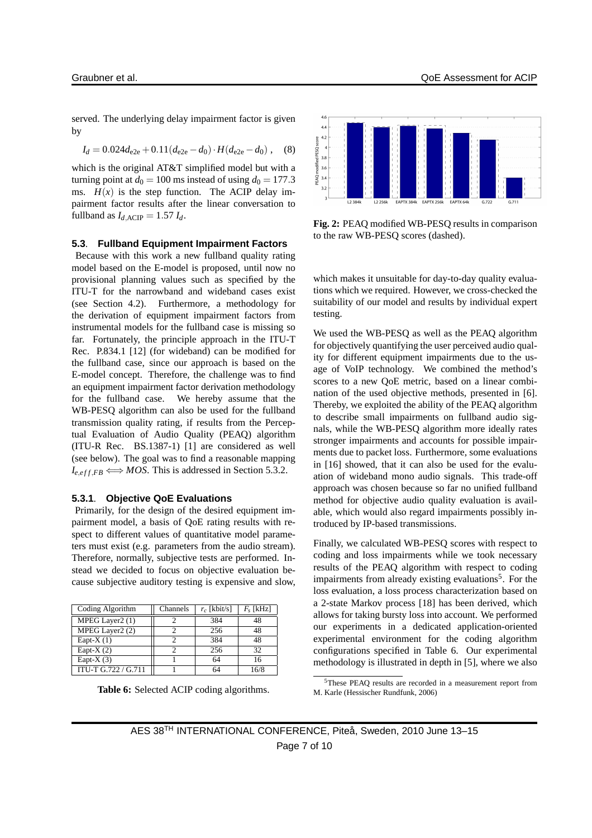served. The underlying delay impairment factor is given by

$$
I_d = 0.024 d_{e2e} + 0.11 (d_{e2e} - d_0) \cdot H(d_{e2e} - d_0) , \quad (8)
$$

which is the original AT&T simplified model but with a turning point at  $d_0 = 100$  ms instead of using  $d_0 = 177.3$ ms.  $H(x)$  is the step function. The ACIP delay impairment factor results after the linear conversation to fullband as  $I_{d,ACIP} = 1.57 I_d$ .

### **5.3**. **Fullband Equipment Impairment Factors**

Because with this work a new fullband quality rating model based on the E-model is proposed, until now no provisional planning values such as specified by the ITU-T for the narrowband and wideband cases exist (see Section 4.2). Furthermore, a methodology for the derivation of equipment impairment factors from instrumental models for the fullband case is missing so far. Fortunately, the principle approach in the ITU-T Rec. P.834.1 [12] (for wideband) can be modified for the fullband case, since our approach is based on the E-model concept. Therefore, the challenge was to find an equipment impairment factor derivation methodology for the fullband case. We hereby assume that the WB-PESQ algorithm can also be used for the fullband transmission quality rating, if results from the Perceptual Evaluation of Audio Quality (PEAQ) algorithm (ITU-R Rec. BS.1387-1) [1] are considered as well (see below). The goal was to find a reasonable mapping  $I_{e,eff,FB} \Longleftrightarrow MOS$ . This is addressed in Section 5.3.2.

## **5.3.1**. **Objective QoE Evaluations**

Primarily, for the design of the desired equipment impairment model, a basis of QoE rating results with respect to different values of quantitative model parameters must exist (e.g. parameters from the audio stream). Therefore, normally, subjective tests are performed. Instead we decided to focus on objective evaluation because subjective auditory testing is expensive and slow,

| Coding Algorithm    | Channels | $r_c$ [kbit/s] | $F_s$ [kHz] |
|---------------------|----------|----------------|-------------|
| MPEG Layer2 (1)     |          | 384            | 48          |
| MPEG Layer2 (2)     |          | 256            | 48          |
| Eapt- $X(1)$        |          | 384            | 48          |
| Eapt-X $(2)$        |          | 256            | 32          |
| Eapt- $X(3)$        |          | 64             | 16          |
| ITU-T G.722 / G.711 |          | 64             | 16/8        |

**Table 6:** Selected ACIP coding algorithms.



**Fig. 2:** PEAQ modified WB-PESQ results in comparison to the raw WB-PESQ scores (dashed).

which makes it unsuitable for day-to-day quality evaluations which we required. However, we cross-checked the suitability of our model and results by individual expert testing.

We used the WB-PESQ as well as the PEAQ algorithm for objectively quantifying the user perceived audio quality for different equipment impairments due to the usage of VoIP technology. We combined the method's scores to a new QoE metric, based on a linear combination of the used objective methods, presented in [6]. Thereby, we exploited the ability of the PEAQ algorithm to describe small impairments on fullband audio signals, while the WB-PESQ algorithm more ideally rates stronger impairments and accounts for possible impairments due to packet loss. Furthermore, some evaluations in [16] showed, that it can also be used for the evaluation of wideband mono audio signals. This trade-off approach was chosen because so far no unified fullband method for objective audio quality evaluation is available, which would also regard impairments possibly introduced by IP-based transmissions.

Finally, we calculated WB-PESQ scores with respect to coding and loss impairments while we took necessary results of the PEAQ algorithm with respect to coding impairments from already existing evaluations<sup>5</sup>. For the loss evaluation, a loss process characterization based on a 2-state Markov process [18] has been derived, which allows for taking bursty loss into account. We performed our experiments in a dedicated application-oriented experimental environment for the coding algorithm configurations specified in Table 6. Our experimental methodology is illustrated in depth in [5], where we also

<sup>5</sup>These PEAQ results are recorded in a measurement report from M. Karle (Hessischer Rundfunk, 2006)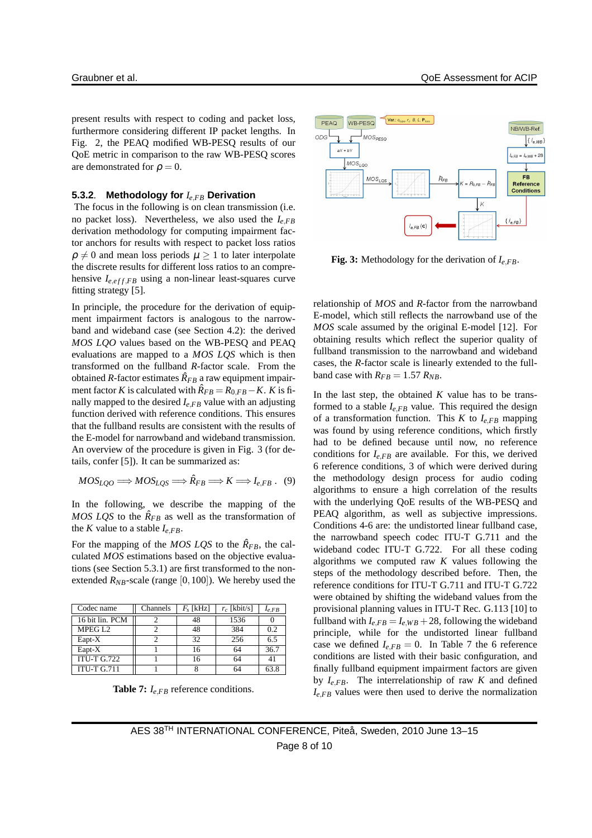present results with respect to coding and packet loss, furthermore considering different IP packet lengths. In Fig. 2, the PEAQ modified WB-PESQ results of our QoE metric in comparison to the raw WB-PESQ scores are demonstrated for  $\rho = 0$ .

### **5.3.2**. **Methodology for** *Ie*,*FB* **Derivation**

The focus in the following is on clean transmission (i.e. no packet loss). Nevertheless, we also used the *Ie*,*FB* derivation methodology for computing impairment factor anchors for results with respect to packet loss ratios  $\rho \neq 0$  and mean loss periods  $\mu \geq 1$  to later interpolate the discrete results for different loss ratios to an comprehensive  $I_{e,eff,FB}$  using a non-linear least-squares curve fitting strategy [5].

In principle, the procedure for the derivation of equipment impairment factors is analogous to the narrowband and wideband case (see Section 4.2): the derived *MOS LQO* values based on the WB-PESQ and PEAQ evaluations are mapped to a *MOS LQS* which is then transformed on the fullband *R*-factor scale. From the obtained *R*-factor estimates  $\hat{R}_{FB}$  a raw equipment impairment factor *K* is calculated with  $\hat{R}_{FB} = R_{0,FB} - K$ . *K* is finally mapped to the desired *Ie*,*FB* value with an adjusting function derived with reference conditions. This ensures that the fullband results are consistent with the results of the E-model for narrowband and wideband transmission. An overview of the procedure is given in Fig. 3 (for details, confer [5]). It can be summarized as:

$$
MOS_{LQO} \Longrightarrow MOS_{LQS} \Longrightarrow \hat{R}_{FB} \Longrightarrow K \Longrightarrow I_{e,FB} . (9)
$$

In the following, we describe the mapping of the *MOS LQS* to the  $\hat{R}_{FB}$  as well as the transformation of the *K* value to a stable  $I_{eFB}$ .

For the mapping of the *MOS LQS* to the  $\hat{R}_{FB}$ , the calculated *MOS* estimations based on the objective evaluations (see Section 5.3.1) are first transformed to the nonextended  $R_{NB}$ -scale (range  $[0,100]$ ). We hereby used the

| Codec name         | Channels | $F_s$ [kHz] | $r_c$ [kbit/s] | $I_{e,FB}$ |
|--------------------|----------|-------------|----------------|------------|
| 16 bit lin. PCM    |          | 48          | 1536           |            |
| MPEG <sub>L2</sub> |          | 48          | 384            | 02         |
| Eapt-X             |          | 32          | 256            | 6.5        |
| Eapt-X             |          | 16          | 64             | 36.7       |
| <b>ITU-T G.722</b> |          | 16          | 64             | 41         |
| <b>ITU-T G.711</b> |          |             | 64             | 63.8       |

**Table 7:** *Ie*,*FB* reference conditions.



**Fig. 3:** Methodology for the derivation of  $I_{eFB}$ .

relationship of *MOS* and *R*-factor from the narrowband E-model, which still reflects the narrowband use of the *MOS* scale assumed by the original E-model [12]. For obtaining results which reflect the superior quality of fullband transmission to the narrowband and wideband cases, the *R*-factor scale is linearly extended to the fullband case with  $R_{FB} = 1.57 R_{NB}$ .

In the last step, the obtained  $K$  value has to be transformed to a stable  $I_{e,FB}$  value. This required the design of a transformation function. This *K* to *Ie*,*FB* mapping was found by using reference conditions, which firstly had to be defined because until now, no reference conditions for  $I_{e,FB}$  are available. For this, we derived 6 reference conditions, 3 of which were derived during the methodology design process for audio coding algorithms to ensure a high correlation of the results with the underlying QoE results of the WB-PESQ and PEAQ algorithm, as well as subjective impressions. Conditions 4-6 are: the undistorted linear fullband case, the narrowband speech codec ITU-T G.711 and the wideband codec ITU-T G.722. For all these coding algorithms we computed raw *K* values following the steps of the methodology described before. Then, the reference conditions for ITU-T G.711 and ITU-T G.722 were obtained by shifting the wideband values from the provisional planning values in ITU-T Rec. G.113 [10] to fullband with  $I_{e,FB} = I_{e, WB} + 28$ , following the wideband principle, while for the undistorted linear fullband case we defined  $I_{e,FB} = 0$ . In Table 7 the 6 reference conditions are listed with their basic configuration, and finally fullband equipment impairment factors are given by  $I_{e,FB}$ . The interrelationship of raw *K* and defined  $I_{e,FB}$  values were then used to derive the normalization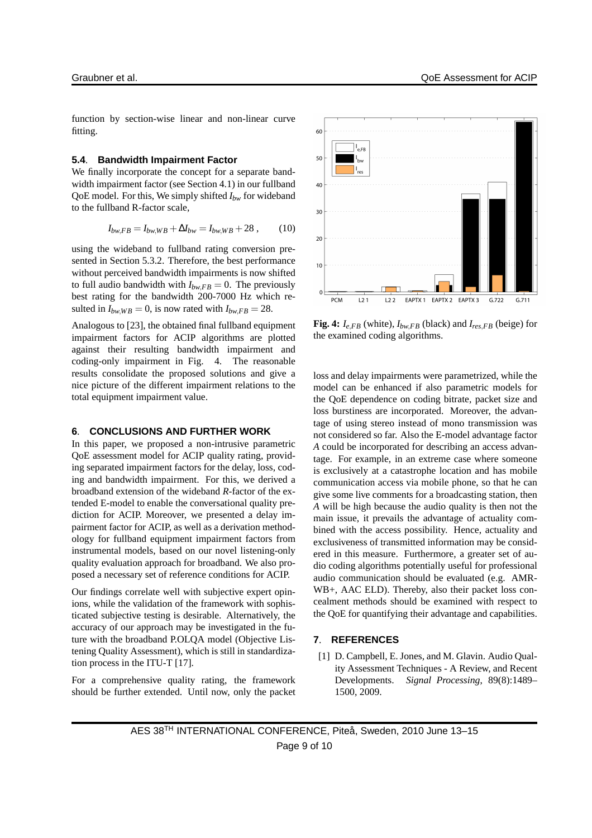function by section-wise linear and non-linear curve fitting.

#### **5.4**. **Bandwidth Impairment Factor**

We finally incorporate the concept for a separate bandwidth impairment factor (see Section 4.1) in our fullband QoE model. For this, We simply shifted *Ibw* for wideband to the fullband R-factor scale,

$$
I_{bw,FB} = I_{bw,WB} + \Delta I_{bw} = I_{bw,WB} + 28 , \qquad (10)
$$

using the wideband to fullband rating conversion presented in Section 5.3.2. Therefore, the best performance without perceived bandwidth impairments is now shifted to full audio bandwidth with  $I_{bw,FB} = 0$ . The previously best rating for the bandwidth 200-7000 Hz which resulted in  $I_{bw, WB} = 0$ , is now rated with  $I_{bw, FB} = 28$ .

Analogous to [23], the obtained final fullband equipment impairment factors for ACIP algorithms are plotted against their resulting bandwidth impairment and coding-only impairment in Fig. 4. The reasonable results consolidate the proposed solutions and give a nice picture of the different impairment relations to the total equipment impairment value.

## **6**. **CONCLUSIONS AND FURTHER WORK**

In this paper, we proposed a non-intrusive parametric QoE assessment model for ACIP quality rating, providing separated impairment factors for the delay, loss, coding and bandwidth impairment. For this, we derived a broadband extension of the wideband *R*-factor of the extended E-model to enable the conversational quality prediction for ACIP. Moreover, we presented a delay impairment factor for ACIP, as well as a derivation methodology for fullband equipment impairment factors from instrumental models, based on our novel listening-only quality evaluation approach for broadband. We also proposed a necessary set of reference conditions for ACIP.

Our findings correlate well with subjective expert opinions, while the validation of the framework with sophisticated subjective testing is desirable. Alternatively, the accuracy of our approach may be investigated in the future with the broadband P.OLQA model (Objective Listening Quality Assessment), which is still in standardization process in the ITU-T [17].

For a comprehensive quality rating, the framework should be further extended. Until now, only the packet



**Fig. 4:**  $I_{e,FB}$  (white),  $I_{bw,FB}$  (black) and  $I_{res,FB}$  (beige) for the examined coding algorithms.

loss and delay impairments were parametrized, while the model can be enhanced if also parametric models for the QoE dependence on coding bitrate, packet size and loss burstiness are incorporated. Moreover, the advantage of using stereo instead of mono transmission was not considered so far. Also the E-model advantage factor *A* could be incorporated for describing an access advantage. For example, in an extreme case where someone is exclusively at a catastrophe location and has mobile communication access via mobile phone, so that he can give some live comments for a broadcasting station, then *A* will be high because the audio quality is then not the main issue, it prevails the advantage of actuality combined with the access possibility. Hence, actuality and exclusiveness of transmitted information may be considered in this measure. Furthermore, a greater set of audio coding algorithms potentially useful for professional audio communication should be evaluated (e.g. AMR-WB+, AAC ELD). Thereby, also their packet loss concealment methods should be examined with respect to the QoE for quantifying their advantage and capabilities.

### **7**. **REFERENCES**

[1] D. Campbell, E. Jones, and M. Glavin. Audio Quality Assessment Techniques - A Review, and Recent Developments. *Signal Processing*, 89(8):1489– 1500, 2009.